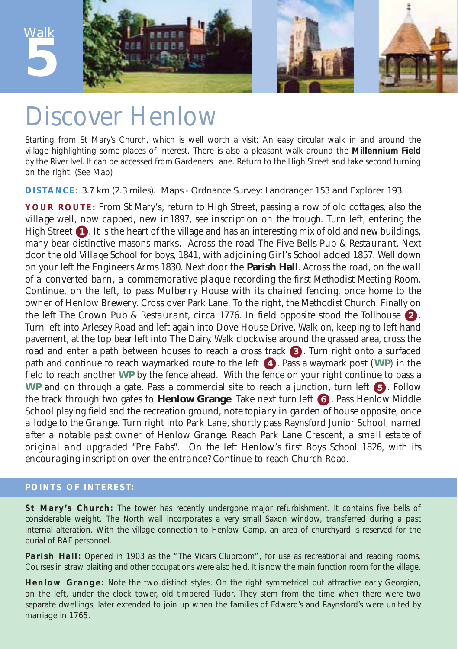**5** Walk







## Discover Henlow

Starting from St Mary's Church, which is well worth a visit: An easy circular walk in and around the village highlighting some places of interest. There is also a pleasant walk around the **Millennium Field** by the River Ivel. It can be accessed from Gardeners Lane. Return to the High Street and take second turning on the right. *(See Map)*

**DISTANCE:** 3.7 km (2.3 miles). Maps - Ordnance Survey: Landranger 153 and Explorer 193.

**YOUR ROUTE:** From St Mary's, return to High Street, passing *a row of old cottages, also the village well, now capped, new in1897, see inscription on the trough.* Turn left, entering the High Street **1**. It is the heart of the village and has an interesting mix of old and new buildings, many bear distinctive masons marks. Across the road *The Five Bells Pub & Restaurant. Next door the old Village School for boys, 1841, with adjoining Girl's School added 1857.* Well down on your left *the Engineers Arms 1830.* Next door the **Parish Hall**. Across the road, *on the wall of a converted barn, a commemorative plaque recording the first Methodist Meeting Room.* Continue, on the left, to pass *Mulberry House with its chained fencing, once home to the owner of Henlow Brewery.* Cross over Park Lane. To the right, *the Methodist Church.* Finally on the left *The Crown Pub & Restaurant, circa 1776. In field opposite stood the Tollhouse*  $\bullet$  *.* Turn left into Arlesey Road and left again into Dove House Drive. Walk on, keeping to left-hand pavement, at the top bear left into The Dairy. Walk clockwise around the grassed area, cross the road and enter a path between houses to reach a cross track **3**. Turn right onto a surfaced path and continue to reach waymarked route to the left (4). Pass a waymark post (WP) in the field to reach another **WP** by the fence ahead. With the fence on your right continue to pass a **WP** and on through a gate. Pass a commercial site to reach a junction, turn left **5**. Follow the track through two gates to **Henlow Grange**. Take next turn left (6). Pass Henlow Middle School playing field and the recreation ground, *note topiary in garden of house opposite, once a lodge to the Grange.* Turn right into Park Lane, shortly pass Raynsford Junior School, *named after a notable past owner of Henlow Grange*. Reach Park Lane Crescent, *a small estate of original and upgraded "Pre Fabs"*. *On the left Henlow's first Boys School 1826, with its encouraging inscription over the entrance?* Continue to reach Church Road.

## **POINTS OF INTEREST:**

**St Mary's Church:** The tower has recently undergone major refurbishment. It contains five bells of considerable weight. The North wall incorporates a very small Saxon window, transferred during a past internal alteration. With the village connection to Henlow Camp, an area of churchyard is reserved for the burial of RAF personnel.

Parish Hall: Opened in 1903 as the "The Vicars Clubroom", for use as recreational and reading rooms. Courses in straw plaiting and other occupations were also held. It is now the main function room for the village.

**Henlow Grange:** Note the two distinct styles. On the right symmetrical but attractive early Georgian, on the left, under the clock tower, old timbered Tudor. They stem from the time when there were two separate dwellings, later extended to join up when the families of Edward's and Raynsford's were united by marriage in 1765.